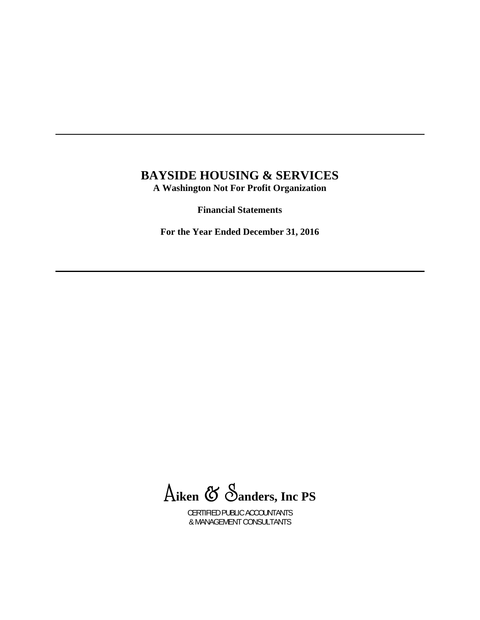## **BAYSIDE HOUSING & SERVICES A Washington Not For Profit Organization**

**Financial Statements** 

**For the Year Ended December 31, 2016** 

A**iken** & S**anders, Inc PS**

CERTIFIED PUBLIC ACCOUNTANTS & MANAGEMENT CONSULTANTS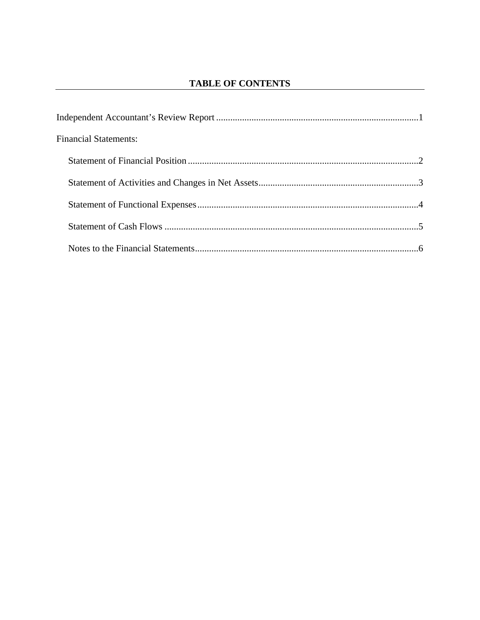| <b>Financial Statements:</b> |  |
|------------------------------|--|
|                              |  |
|                              |  |
|                              |  |
|                              |  |
|                              |  |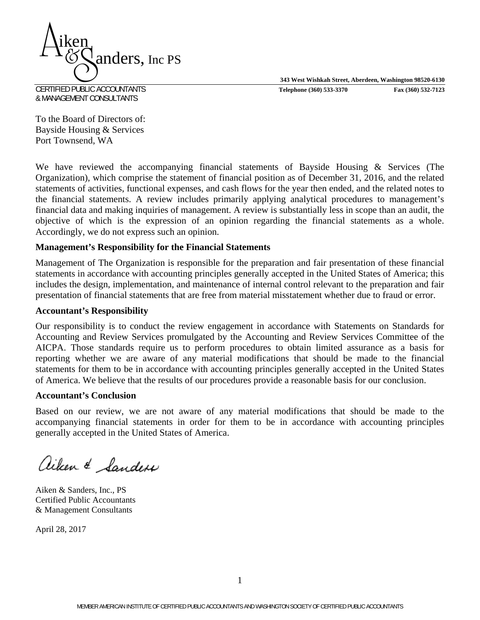**343 West Wishkah Street, Aberdeen, Washington 98520-6130** CERTIFIED PUBLIC ACCOUNTANTS **Telephone (360) 533-3370 Fax (360) 532-7123** 



& MANAGEMENT CONSULTANTS

To the Board of Directors of: Bayside Housing & Services Port Townsend, WA

We have reviewed the accompanying financial statements of Bayside Housing & Services (The Organization), which comprise the statement of financial position as of December 31, 2016, and the related statements of activities, functional expenses, and cash flows for the year then ended, and the related notes to the financial statements. A review includes primarily applying analytical procedures to management's financial data and making inquiries of management. A review is substantially less in scope than an audit, the objective of which is the expression of an opinion regarding the financial statements as a whole. Accordingly, we do not express such an opinion.

## **Management's Responsibility for the Financial Statements**

Management of The Organization is responsible for the preparation and fair presentation of these financial statements in accordance with accounting principles generally accepted in the United States of America; this includes the design, implementation, and maintenance of internal control relevant to the preparation and fair presentation of financial statements that are free from material misstatement whether due to fraud or error.

#### **Accountant's Responsibility**

Our responsibility is to conduct the review engagement in accordance with Statements on Standards for Accounting and Review Services promulgated by the Accounting and Review Services Committee of the AICPA. Those standards require us to perform procedures to obtain limited assurance as a basis for reporting whether we are aware of any material modifications that should be made to the financial statements for them to be in accordance with accounting principles generally accepted in the United States of America. We believe that the results of our procedures provide a reasonable basis for our conclusion.

#### **Accountant's Conclusion**

Based on our review, we are not aware of any material modifications that should be made to the accompanying financial statements in order for them to be in accordance with accounting principles generally accepted in the United States of America.

aiken & Sanders

Aiken & Sanders, Inc., PS Certified Public Accountants & Management Consultants

April 28, 2017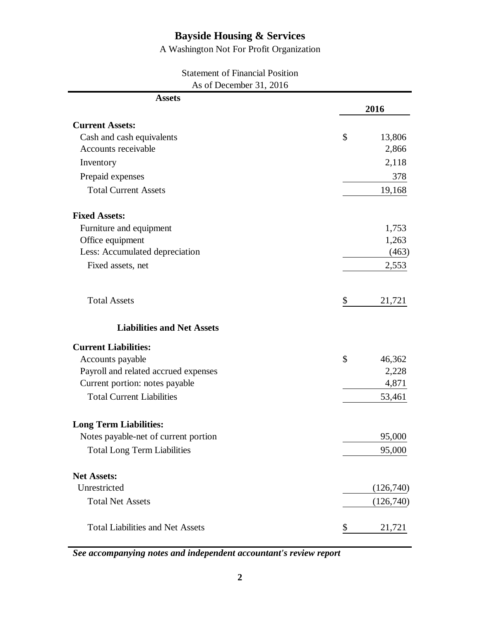A Washington Not For Profit Organization

| <b>Statement of Financial Position</b> |
|----------------------------------------|
| As of December 31, 2016                |

| <b>Assets</b>                           |              |
|-----------------------------------------|--------------|
|                                         | 2016         |
| <b>Current Assets:</b>                  |              |
| Cash and cash equivalents               | \$<br>13,806 |
| Accounts receivable                     | 2,866        |
| Inventory                               | 2,118        |
| Prepaid expenses                        | 378          |
| <b>Total Current Assets</b>             | 19,168       |
| <b>Fixed Assets:</b>                    |              |
| Furniture and equipment                 | 1,753        |
| Office equipment                        | 1,263        |
| Less: Accumulated depreciation          | (463)        |
| Fixed assets, net                       | 2,553        |
| <b>Total Assets</b>                     | \$<br>21,721 |
| <b>Liabilities and Net Assets</b>       |              |
| <b>Current Liabilities:</b>             |              |
| Accounts payable                        | \$<br>46,362 |
| Payroll and related accrued expenses    | 2,228        |
| Current portion: notes payable          | 4,871        |
| <b>Total Current Liabilities</b>        | 53,461       |
| <b>Long Term Liabilities:</b>           |              |
| Notes payable-net of current portion    | 95,000       |
| <b>Total Long Term Liabilities</b>      | 95,000       |
| <b>Net Assets:</b>                      |              |
| Unrestricted                            | (126,740)    |
| <b>Total Net Assets</b>                 | (126,740)    |
| <b>Total Liabilities and Net Assets</b> | \$<br>21,721 |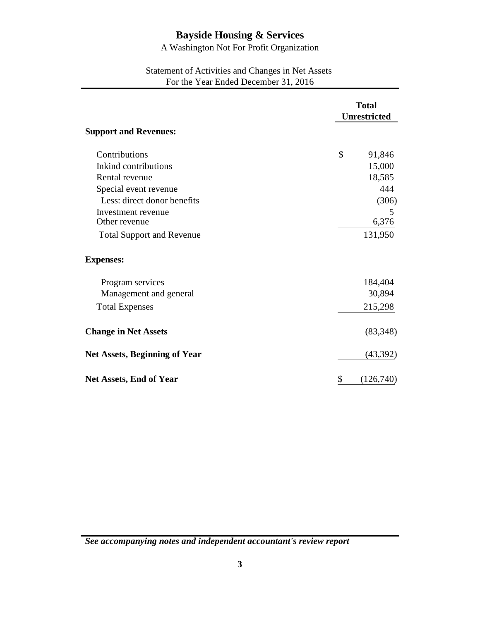A Washington Not For Profit Organization

## Statement of Activities and Changes in Net Assets For the Year Ended December 31, 2016

|                                      | <b>Total</b><br><b>Unrestricted</b> |
|--------------------------------------|-------------------------------------|
| <b>Support and Revenues:</b>         |                                     |
| Contributions                        | \$<br>91,846                        |
| Inkind contributions                 | 15,000                              |
| Rental revenue                       | 18,585                              |
| Special event revenue                | 444                                 |
| Less: direct donor benefits          | (306)                               |
| Investment revenue                   | 5                                   |
| Other revenue                        | 6,376                               |
| <b>Total Support and Revenue</b>     | 131,950                             |
| <b>Expenses:</b>                     |                                     |
| Program services                     | 184,404                             |
| Management and general               | 30,894                              |
| <b>Total Expenses</b>                | 215,298                             |
| <b>Change in Net Assets</b>          | (83,348)                            |
| <b>Net Assets, Beginning of Year</b> | (43, 392)                           |
| <b>Net Assets, End of Year</b>       | \$<br>(126,740)                     |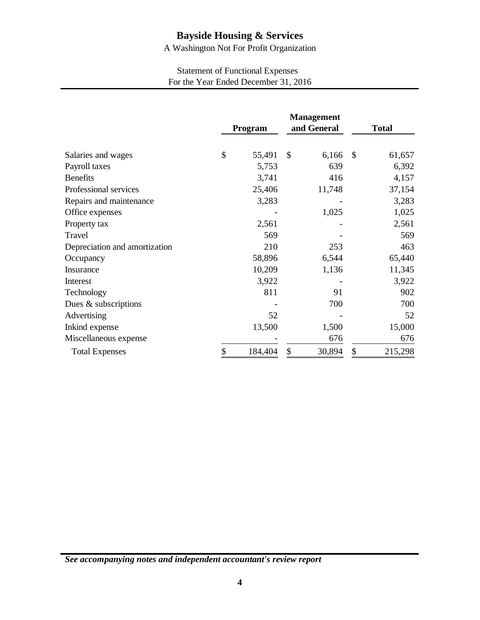A Washington Not For Profit Organization

## Statement of Functional Expenses For the Year Ended December 31, 2016

|                               | Program       | <b>Management</b><br>and General |        | <b>Total</b> |         |
|-------------------------------|---------------|----------------------------------|--------|--------------|---------|
| Salaries and wages            | \$<br>55,491  | \$                               | 6,166  | \$           | 61,657  |
| Payroll taxes                 | 5,753         |                                  | 639    |              | 6,392   |
| <b>Benefits</b>               | 3,741         |                                  | 416    |              | 4,157   |
| Professional services         | 25,406        |                                  | 11,748 |              | 37,154  |
| Repairs and maintenance       | 3,283         |                                  |        |              | 3,283   |
| Office expenses               |               |                                  | 1,025  |              | 1,025   |
| Property tax                  | 2,561         |                                  |        |              | 2,561   |
| Travel                        | 569           |                                  |        |              | 569     |
| Depreciation and amortization | 210           |                                  | 253    |              | 463     |
| Occupancy                     | 58,896        |                                  | 6,544  |              | 65,440  |
| Insurance                     | 10,209        |                                  | 1,136  |              | 11,345  |
| Interest                      | 3,922         |                                  |        |              | 3,922   |
| Technology                    | 811           |                                  | 91     |              | 902     |
| Dues & subscriptions          |               |                                  | 700    |              | 700     |
| Advertising                   | 52            |                                  |        |              | 52      |
| Inkind expense                | 13,500        |                                  | 1,500  |              | 15,000  |
| Miscellaneous expense         |               |                                  | 676    |              | 676     |
| <b>Total Expenses</b>         | \$<br>184,404 | \$                               | 30,894 | \$           | 215,298 |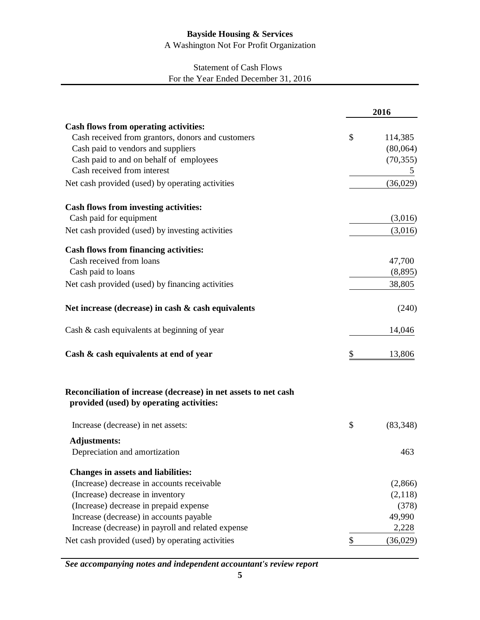A Washington Not For Profit Organization

## Statement of Cash Flows For the Year Ended December 31, 2016

|                                                                                                             | 2016            |
|-------------------------------------------------------------------------------------------------------------|-----------------|
| Cash flows from operating activities:                                                                       |                 |
| Cash received from grantors, donors and customers                                                           | \$<br>114,385   |
| Cash paid to vendors and suppliers                                                                          | (80,064)        |
| Cash paid to and on behalf of employees                                                                     | (70, 355)       |
| Cash received from interest                                                                                 | 5               |
| Net cash provided (used) by operating activities                                                            | (36,029)        |
| <b>Cash flows from investing activities:</b>                                                                |                 |
| Cash paid for equipment                                                                                     | (3,016)         |
| Net cash provided (used) by investing activities                                                            | (3,016)         |
| <b>Cash flows from financing activities:</b>                                                                |                 |
| Cash received from loans                                                                                    | 47,700          |
| Cash paid to loans                                                                                          | (8,895)         |
| Net cash provided (used) by financing activities                                                            | 38,805          |
| Net increase (decrease) in cash & cash equivalents                                                          | (240)           |
| Cash & cash equivalents at beginning of year                                                                | 14,046          |
| Cash & cash equivalents at end of year                                                                      | \$<br>13,806    |
| Reconciliation of increase (decrease) in net assets to net cash<br>provided (used) by operating activities: |                 |
| Increase (decrease) in net assets:                                                                          | \$<br>(83, 348) |
| <b>Adjustments:</b>                                                                                         |                 |
| Depreciation and amortization                                                                               | 463             |
| <b>Changes in assets and liabilities:</b>                                                                   |                 |
| (Increase) decrease in accounts receivable                                                                  | (2,866)         |
| (Increase) decrease in inventory                                                                            | (2,118)         |
| (Increase) decrease in prepaid expense                                                                      | (378)           |
| Increase (decrease) in accounts payable                                                                     | 49,990          |
| Increase (decrease) in payroll and related expense                                                          | 2,228           |
| Net cash provided (used) by operating activities                                                            | \$<br>(36,029)  |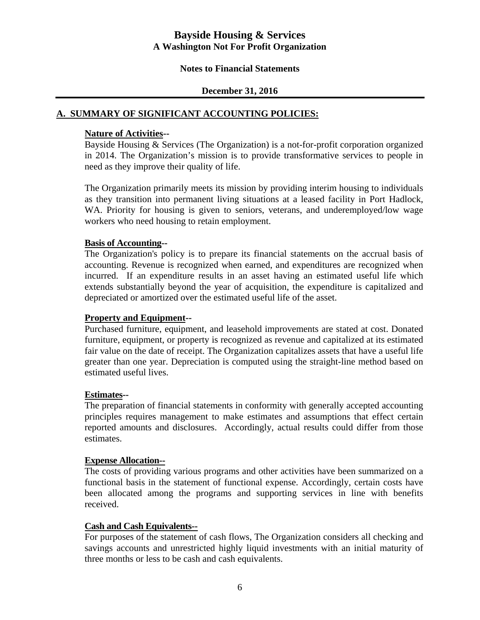#### **Notes to Financial Statements**

#### **December 31, 2016**

### **A. SUMMARY OF SIGNIFICANT ACCOUNTING POLICIES:**

#### **Nature of Activities--**

 Bayside Housing & Services (The Organization) is a not-for-profit corporation organized in 2014. The Organization's mission is to provide transformative services to people in need as they improve their quality of life.

 The Organization primarily meets its mission by providing interim housing to individuals as they transition into permanent living situations at a leased facility in Port Hadlock, WA. Priority for housing is given to seniors, veterans, and underemployed/low wage workers who need housing to retain employment.

#### **Basis of Accounting--**

 The Organization's policy is to prepare its financial statements on the accrual basis of accounting. Revenue is recognized when earned, and expenditures are recognized when incurred. If an expenditure results in an asset having an estimated useful life which extends substantially beyond the year of acquisition, the expenditure is capitalized and depreciated or amortized over the estimated useful life of the asset.

#### **Property and Equipment--**

 Purchased furniture, equipment, and leasehold improvements are stated at cost. Donated furniture, equipment, or property is recognized as revenue and capitalized at its estimated fair value on the date of receipt. The Organization capitalizes assets that have a useful life greater than one year. Depreciation is computed using the straight-line method based on estimated useful lives.

#### **Estimates--**

 The preparation of financial statements in conformity with generally accepted accounting principles requires management to make estimates and assumptions that effect certain reported amounts and disclosures. Accordingly, actual results could differ from those estimates.

#### **Expense Allocation--**

 The costs of providing various programs and other activities have been summarized on a functional basis in the statement of functional expense. Accordingly, certain costs have been allocated among the programs and supporting services in line with benefits received.

#### **Cash and Cash Equivalents--**

 For purposes of the statement of cash flows, The Organization considers all checking and savings accounts and unrestricted highly liquid investments with an initial maturity of three months or less to be cash and cash equivalents.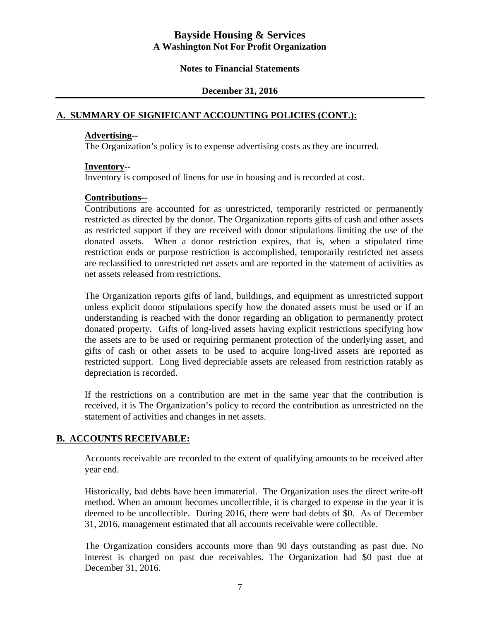#### **Notes to Financial Statements**

#### **December 31, 2016**

#### **A. SUMMARY OF SIGNIFICANT ACCOUNTING POLICIES (CONT.):**

#### **Advertising--**

The Organization's policy is to expense advertising costs as they are incurred.

#### **Inventory--**

Inventory is composed of linens for use in housing and is recorded at cost.

#### **Contributions--**

 Contributions are accounted for as unrestricted, temporarily restricted or permanently restricted as directed by the donor. The Organization reports gifts of cash and other assets as restricted support if they are received with donor stipulations limiting the use of the donated assets. When a donor restriction expires, that is, when a stipulated time restriction ends or purpose restriction is accomplished, temporarily restricted net assets are reclassified to unrestricted net assets and are reported in the statement of activities as net assets released from restrictions.

 The Organization reports gifts of land, buildings, and equipment as unrestricted support unless explicit donor stipulations specify how the donated assets must be used or if an understanding is reached with the donor regarding an obligation to permanently protect donated property. Gifts of long-lived assets having explicit restrictions specifying how the assets are to be used or requiring permanent protection of the underlying asset, and gifts of cash or other assets to be used to acquire long-lived assets are reported as restricted support. Long lived depreciable assets are released from restriction ratably as depreciation is recorded.

 If the restrictions on a contribution are met in the same year that the contribution is received, it is The Organization's policy to record the contribution as unrestricted on the statement of activities and changes in net assets.

## **B. ACCOUNTS RECEIVABLE:**

Accounts receivable are recorded to the extent of qualifying amounts to be received after year end.

Historically, bad debts have been immaterial. The Organization uses the direct write-off method. When an amount becomes uncollectible, it is charged to expense in the year it is deemed to be uncollectible. During 2016, there were bad debts of \$0. As of December 31, 2016, management estimated that all accounts receivable were collectible.

The Organization considers accounts more than 90 days outstanding as past due. No interest is charged on past due receivables. The Organization had \$0 past due at December 31, 2016.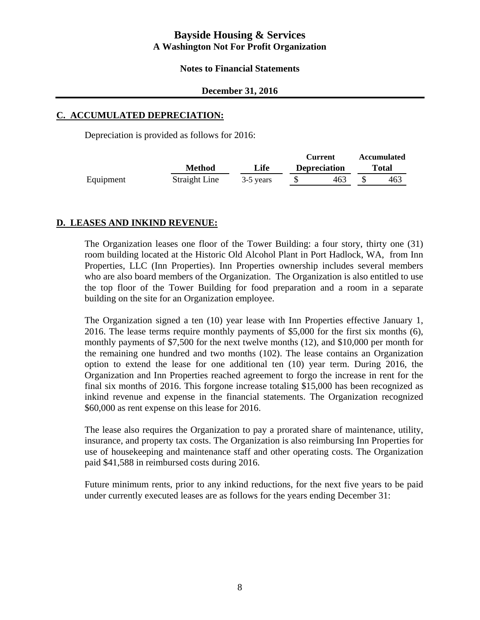#### **Notes to Financial Statements**

#### **December 31, 2016**

#### **C. ACCUMULATED DEPRECIATION:**

Depreciation is provided as follows for 2016:

|               |           |     |                                | <b>Accumulated</b> |
|---------------|-----------|-----|--------------------------------|--------------------|
| Method        | Life      |     |                                | Total              |
| Straight Line | 3-5 years | 463 |                                | 463                |
|               |           |     | Current<br><b>Depreciation</b> |                    |

#### **D. LEASES AND INKIND REVENUE:**

The Organization leases one floor of the Tower Building: a four story, thirty one (31) room building located at the Historic Old Alcohol Plant in Port Hadlock, WA, from Inn Properties, LLC (Inn Properties). Inn Properties ownership includes several members who are also board members of the Organization. The Organization is also entitled to use the top floor of the Tower Building for food preparation and a room in a separate building on the site for an Organization employee.

The Organization signed a ten (10) year lease with Inn Properties effective January 1, 2016. The lease terms require monthly payments of \$5,000 for the first six months (6), monthly payments of \$7,500 for the next twelve months (12), and \$10,000 per month for the remaining one hundred and two months (102). The lease contains an Organization option to extend the lease for one additional ten (10) year term. During 2016, the Organization and Inn Properties reached agreement to forgo the increase in rent for the final six months of 2016. This forgone increase totaling \$15,000 has been recognized as inkind revenue and expense in the financial statements. The Organization recognized \$60,000 as rent expense on this lease for 2016.

The lease also requires the Organization to pay a prorated share of maintenance, utility, insurance, and property tax costs. The Organization is also reimbursing Inn Properties for use of housekeeping and maintenance staff and other operating costs. The Organization paid \$41,588 in reimbursed costs during 2016.

Future minimum rents, prior to any inkind reductions, for the next five years to be paid under currently executed leases are as follows for the years ending December 31: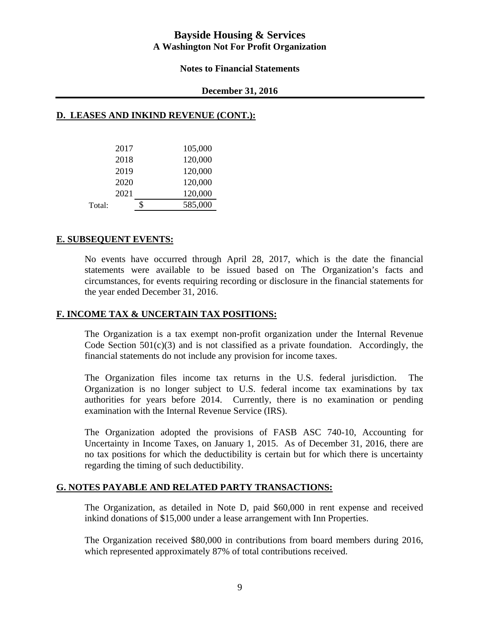#### **Notes to Financial Statements**

#### **December 31, 2016**

#### **D. LEASES AND INKIND REVENUE (CONT.):**

|        | 2017 | 105,000       |
|--------|------|---------------|
|        | 2018 | 120,000       |
|        | 2019 | 120,000       |
|        | 2020 | 120,000       |
|        | 2021 | 120,000       |
| Total: |      | \$<br>585,000 |

#### **E. SUBSEQUENT EVENTS:**

No events have occurred through April 28, 2017, which is the date the financial statements were available to be issued based on The Organization's facts and circumstances, for events requiring recording or disclosure in the financial statements for the year ended December 31, 2016.

#### **F. INCOME TAX & UNCERTAIN TAX POSITIONS:**

The Organization is a tax exempt non-profit organization under the Internal Revenue Code Section  $501(c)(3)$  and is not classified as a private foundation. Accordingly, the financial statements do not include any provision for income taxes.

The Organization files income tax returns in the U.S. federal jurisdiction. The Organization is no longer subject to U.S. federal income tax examinations by tax authorities for years before 2014. Currently, there is no examination or pending examination with the Internal Revenue Service (IRS).

The Organization adopted the provisions of FASB ASC 740-10, Accounting for Uncertainty in Income Taxes, on January 1, 2015. As of December 31, 2016, there are no tax positions for which the deductibility is certain but for which there is uncertainty regarding the timing of such deductibility.

#### **G. NOTES PAYABLE AND RELATED PARTY TRANSACTIONS:**

The Organization, as detailed in Note D, paid \$60,000 in rent expense and received inkind donations of \$15,000 under a lease arrangement with Inn Properties.

The Organization received \$80,000 in contributions from board members during 2016, which represented approximately 87% of total contributions received.